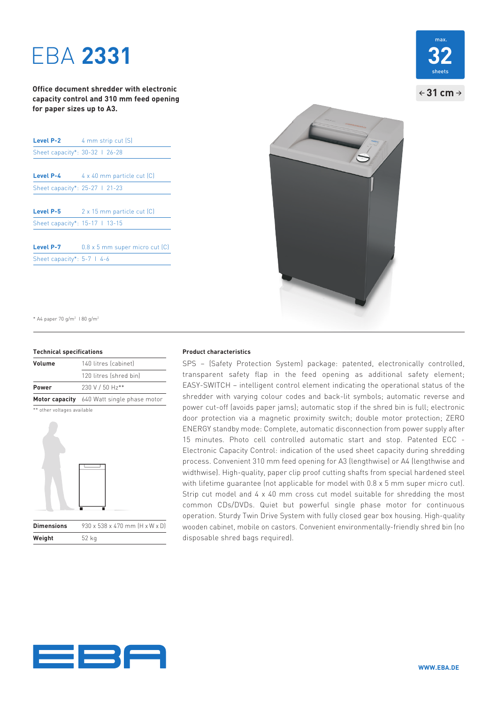# EBA **2331**

**Office document shredder with electronic capacity control and 310 mm feed opening for paper sizes up to A3.**

| Level P-2                      | 4 mm strip cut (S)                      |
|--------------------------------|-----------------------------------------|
| Sheet capacity*: 30-32   26-28 |                                         |
|                                |                                         |
| <b>Level P-4</b>               | $4 \times 40$ mm particle cut $(C)$     |
| Sheet capacity*: 25-27 1 21-23 |                                         |
|                                |                                         |
| Level P-5                      | 2 x 15 mm particle cut [C]              |
| Sheet capacity*: 15-17   13-15 |                                         |
|                                |                                         |
| Level P-7                      | $0.8 \times 5$ mm super micro cut $(C)$ |
| Sheet capacity*: 5-7   4-6     |                                         |
|                                |                                         |





\* A4 paper 70 g/m2 I 80 g/m2

### **Technical specifications**

| Volume | 140 litres (cabinet)                       |
|--------|--------------------------------------------|
|        | 120 litres (shred bin)                     |
| Power  | 230 V / 50 Hz**                            |
|        | Motor capacity 640 Watt single phase motor |
|        |                                            |





### **Product characteristics**

SPS – (Safety Protection System) package: patented, electronically controlled, transparent safety flap in the feed opening as additional safety element; EASY-SWITCH – intelligent control element indicating the operational status of the shredder with varying colour codes and back-lit symbols; automatic reverse and power cut-off (avoids paper jams); automatic stop if the shred bin is full; electronic door protection via a magnetic proximity switch; double motor protection; ZERO ENERGY standby mode: Complete, automatic disconnection from power supply after 15 minutes. Photo cell controlled automatic start and stop. Patented ECC - Electronic Capacity Control: indication of the used sheet capacity during shredding process. Convenient 310 mm feed opening for A3 (lengthwise) or A4 (lengthwise and widthwise). High-quality, paper clip proof cutting shafts from special hardened steel with lifetime guarantee (not applicable for model with 0.8 x 5 mm super micro cut). Strip cut model and 4 x 40 mm cross cut model suitable for shredding the most common CDs/DVDs. Quiet but powerful single phase motor for continuous operation. Sturdy Twin Drive System with fully closed gear box housing. High-quality wooden cabinet, mobile on castors. Convenient environmentally-friendly shred bin (no disposable shred bags required).